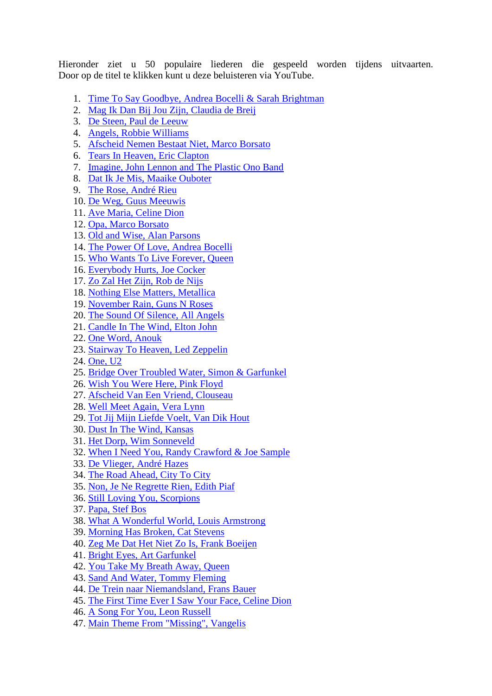Hieronder ziet u 50 populaire liederen die gespeeld worden tijdens uitvaarten. Door op de titel te klikken kunt u deze beluisteren via YouTube.

- 1. [Time To Say Goodbye, Andrea Bocelli & Sarah Brightman](https://www.youtube.com/watch?v=ohXI3po8hK0)
- 2. [Mag Ik Dan Bij Jou Zijn, Claudia de Breij](https://www.youtube.com/watch?v=Gu6Uge1wSLQ)
- 3. [De Steen, Paul de Leeuw](http://www.youtube.com/watch?v=GBCeUPE5Ltg)
- 4. [Angels, Robbie Williams](https://www.youtube.com/watch?v=E6C2-5ZsuaY)
- 5. [Afscheid Nemen Bestaat Niet, Marco Borsato](http://www.youtube.com/watch?v=vqUTNY-bnLg)
- 6. [Tears In Heaven, Eric Clapton](http://www.youtube.com/watch?v=UgwlZXa_6mo)
- 7. [Imagine, John Lennon and The Plastic Ono Band](http://www.youtube.com/watch?v=ytz_sLKr39A)
- 8. [Dat Ik Je Mis, Maaike Ouboter](https://www.youtube.com/watch?v=5Ql8WkbBPNM)
- 9. [The Rose, André Rieu](http://www.youtube.com/watch?v=v2fN7OpcQmo)
- 10. [De Weg, Guus Meeuwis](https://www.youtube.com/watch?v=t2W6r9KGpQY)
- 11. [Ave Maria, Celine Dion](http://www.youtube.com/watch?v=RiQqPy6qPA0)
- 12. [Opa, Marco Borsato](http://www.youtube.com/watch?v=KMS5Ulj7vT0)
- 13. [Old and Wise, Alan Parsons](http://www.youtube.com/watch?v=NLtFsiOFn-4)
- 14. [The Power Of Love, Andrea Bocelli](http://www.youtube.com/watch?v=7EUgCA64ajM)
- 15. [Who Wants To Live Forever, Queen](http://www.youtube.com/watch?v=5L8-FTvSVxs)
- 16. [Everybody Hurts, Joe Cocker](http://www.youtube.com/watch?v=oXh6wFhzN-8)
- 17. [Zo Zal Het Zijn, Rob de Nijs](http://www.youtube.com/watch?v=MLDvpY88UBw)
- 18. [Nothing Else Matters, Metallica](http://www.youtube.com/watch?v=Tj75Arhq5ho)
- 19. [November Rain, Guns N Roses](http://www.youtube.com/watch?v=SQ4a0vW0Y1o)
- 20. [The Sound Of Silence, All Angels](http://www.youtube.com/watch?v=g6YATKYIFnY)
- 21. [Candle In The Wind, Elton John](http://www.youtube.com/watch?v=cxyf1caYbbU)
- 22. [One Word, Anouk](http://www.youtube.com/watch?v=tdkh_WsJm-g)
- 23. [Stairway To Heaven, Led Zeppelin](http://www.youtube.com/watch?v=BcL---4xQYA)
- 24. [One, U2](https://www.youtube.com/watch?v=dUPknNBjTrY)
- 25. [Bridge Over Troubled Water, Simon & Garfunkel](http://www.youtube.com/watch?v=jjNgn4r6SOA)
- 26. [Wish You Were Here, Pink Floyd](http://www.youtube.com/watch?v=mk_V6R_pGfM)
- 27. [Afscheid Van Een Vriend, Clouseau](http://www.youtube.com/watch?v=sDE3YuHBiHA)
- 28. [Well Meet Again, Vera Lynn](http://www.youtube.com/watch?v=j0zIEX4upzc)
- 29. [Tot Jij Mijn Liefde Voelt, Van Dik Hout](http://www.youtube.com/watch?v=5ZW7YJNHMG0)
- 30. [Dust In The Wind, Kansas](http://www.youtube.com/watch?v=g0zSB2WEtwU)
- 31. [Het Dorp, Wim Sonneveld](http://www.youtube.com/watch?v=K4mQ0Cssfuw)
- 32. [When I Need You, Randy Crawford & Joe Sample](http://www.youtube.com/watch?v=1ZQoPuDGYrw)
- 33. [De Vlieger, André Hazes](http://www.youtube.com/watch?v=0Pt1AlHkXdo)
- 34. [The Road Ahead, City To City](http://www.youtube.com/watch?v=ZbZUPafTIuI)
- 35. [Non, Je Ne Regrette Rien, Edith Piaf](http://www.youtube.com/watch?v=BoiEGfd-328)
- 36. [Still Loving You, Scorpions](http://www.youtube.com/watch?v=Pep6nREBpS8)
- 37. [Papa, Stef Bos](https://www.youtube.com/watch?v=9DC4KTyBKD8)
- 38. [What A Wonderful World, Louis Armstrong](http://www.youtube.com/watch?v=A3yCcXgbKrE)
- 39. [Morning Has Broken, Cat Stevens](http://www.youtube.com/watch?v=Oa-mWuBY-is)
- 40. [Zeg Me Dat Het Niet Zo Is, Frank Boeijen](http://www.youtube.com/watch?v=-WrAq15x47k)
- 41. [Bright Eyes, Art Garfunkel](https://www.youtube.com/watch?v=3ekOznhZkhU)
- 42. [You Take My Breath Away, Queen](http://www.youtube.com/watch?v=4vlDQUk1VIs)
- 43. [Sand And Water, Tommy Fleming](http://www.youtube.com/watch?v=tCe27ffLfsk)
- 44. [De Trein naar Niemandsland, Frans Bauer](http://www.youtube.com/watch?v=_qJy4cOrPL0)
- 45. [The First Time Ever I Saw Your Face, Celine Dion](http://www.youtube.com/watch?v=1ibWjSSGXak)
- 46. [A Song For You, Leon Russell](http://www.youtube.com/watch?v=37dw2r45Xzg)
- 47. [Main Theme From "Missing", Vangelis](http://www.youtube.com/watch?v=n7IeiHEvAJE)